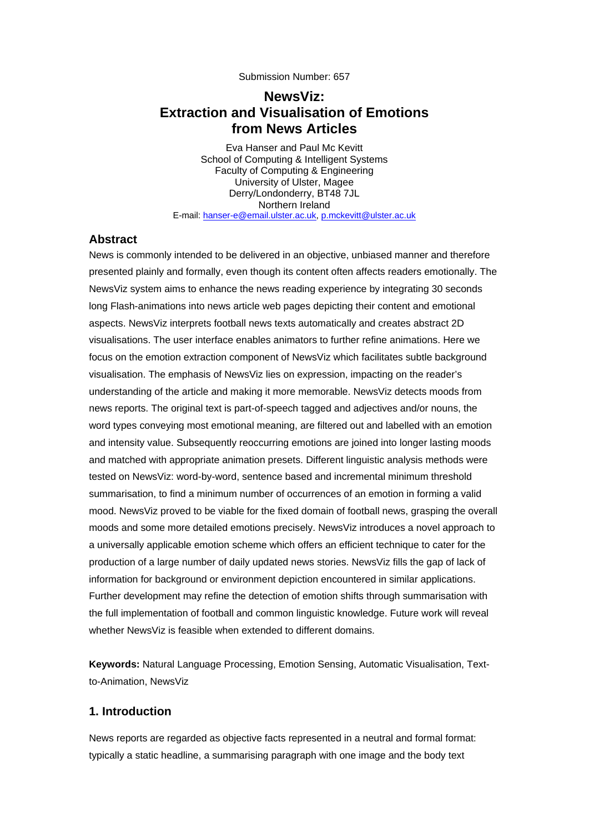Submission Number: 657

# **NewsViz: Extraction and Visualisation of Emotions from News Articles**

Eva Hanser and Paul Mc Kevitt School of Computing & Intelligent Systems Faculty of Computing & Engineering University of Ulster, Magee Derry/Londonderry, BT48 7JL Northern Ireland E-mail: hanser-e@email.ulster.ac.uk, p.mckevitt@ulster.ac.uk

#### **Abstract**

News is commonly intended to be delivered in an objective, unbiased manner and therefore presented plainly and formally, even though its content often affects readers emotionally. The NewsViz system aims to enhance the news reading experience by integrating 30 seconds long Flash-animations into news article web pages depicting their content and emotional aspects. NewsViz interprets football news texts automatically and creates abstract 2D visualisations. The user interface enables animators to further refine animations. Here we focus on the emotion extraction component of NewsViz which facilitates subtle background visualisation. The emphasis of NewsViz lies on expression, impacting on the reader's understanding of the article and making it more memorable. NewsViz detects moods from news reports. The original text is part-of-speech tagged and adjectives and/or nouns, the word types conveying most emotional meaning, are filtered out and labelled with an emotion and intensity value. Subsequently reoccurring emotions are joined into longer lasting moods and matched with appropriate animation presets. Different linguistic analysis methods were tested on NewsViz: word-by-word, sentence based and incremental minimum threshold summarisation, to find a minimum number of occurrences of an emotion in forming a valid mood. NewsViz proved to be viable for the fixed domain of football news, grasping the overall moods and some more detailed emotions precisely. NewsViz introduces a novel approach to a universally applicable emotion scheme which offers an efficient technique to cater for the production of a large number of daily updated news stories. NewsViz fills the gap of lack of information for background or environment depiction encountered in similar applications. Further development may refine the detection of emotion shifts through summarisation with the full implementation of football and common linguistic knowledge. Future work will reveal whether NewsViz is feasible when extended to different domains.

**Keywords:** Natural Language Processing, Emotion Sensing, Automatic Visualisation, Textto-Animation, NewsViz

#### **1. Introduction**

News reports are regarded as objective facts represented in a neutral and formal format: typically a static headline, a summarising paragraph with one image and the body text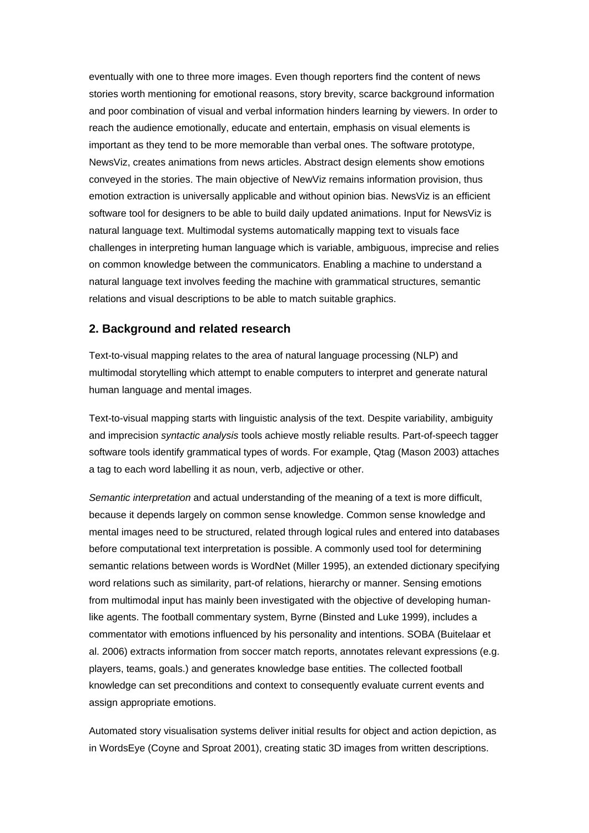eventually with one to three more images. Even though reporters find the content of news stories worth mentioning for emotional reasons, story brevity, scarce background information and poor combination of visual and verbal information hinders learning by viewers. In order to reach the audience emotionally, educate and entertain, emphasis on visual elements is important as they tend to be more memorable than verbal ones. The software prototype, NewsViz, creates animations from news articles. Abstract design elements show emotions conveyed in the stories. The main objective of NewViz remains information provision, thus emotion extraction is universally applicable and without opinion bias. NewsViz is an efficient software tool for designers to be able to build daily updated animations. Input for NewsViz is natural language text. Multimodal systems automatically mapping text to visuals face challenges in interpreting human language which is variable, ambiguous, imprecise and relies on common knowledge between the communicators. Enabling a machine to understand a natural language text involves feeding the machine with grammatical structures, semantic relations and visual descriptions to be able to match suitable graphics.

#### **2. Background and related research**

Text-to-visual mapping relates to the area of natural language processing (NLP) and multimodal storytelling which attempt to enable computers to interpret and generate natural human language and mental images.

Text-to-visual mapping starts with linguistic analysis of the text. Despite variability, ambiguity and imprecision *syntactic analysis* tools achieve mostly reliable results. Part-of-speech tagger software tools identify grammatical types of words. For example, Qtag (Mason 2003) attaches a tag to each word labelling it as noun, verb, adjective or other.

*Semantic interpretation* and actual understanding of the meaning of a text is more difficult, because it depends largely on common sense knowledge. Common sense knowledge and mental images need to be structured, related through logical rules and entered into databases before computational text interpretation is possible. A commonly used tool for determining semantic relations between words is WordNet (Miller 1995), an extended dictionary specifying word relations such as similarity, part-of relations, hierarchy or manner. Sensing emotions from multimodal input has mainly been investigated with the objective of developing humanlike agents. The football commentary system, Byrne (Binsted and Luke 1999), includes a commentator with emotions influenced by his personality and intentions. SOBA (Buitelaar et al. 2006) extracts information from soccer match reports, annotates relevant expressions (e.g. players, teams, goals.) and generates knowledge base entities. The collected football knowledge can set preconditions and context to consequently evaluate current events and assign appropriate emotions.

Automated story visualisation systems deliver initial results for object and action depiction, as in WordsEye (Coyne and Sproat 2001), creating static 3D images from written descriptions.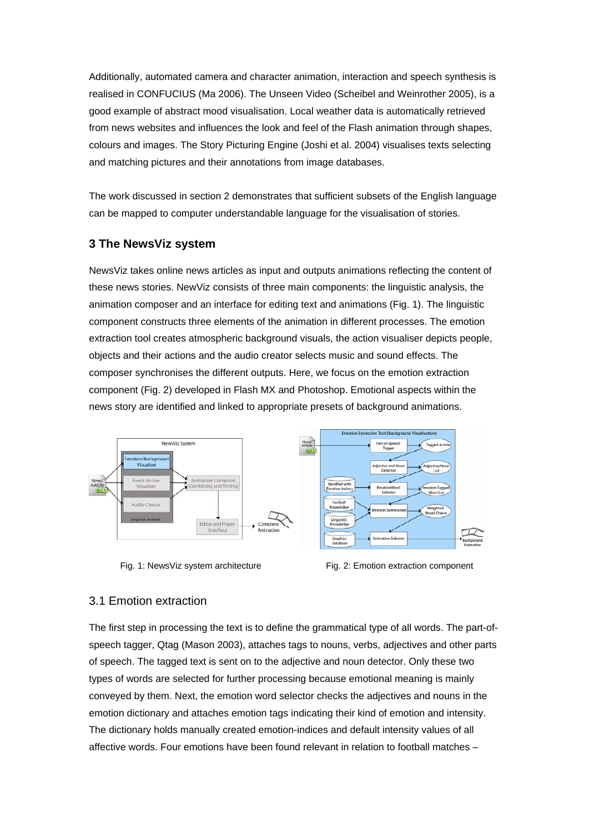Additionally, automated camera and character animation, interaction and speech synthesis is realised in CONFUCIUS (Ma 2006). The Unseen Video (Scheibel and Weinrother 2005), is a good example of abstract mood visualisation. Local weather data is automatically retrieved from news websites and influences the look and feel of the Flash animation through shapes, colours and images. The Story Picturing Engine (Joshi et al. 2004) visualises texts selecting and matching pictures and their annotations from image databases.

The work discussed in section 2 demonstrates that sufficient subsets of the English language can be mapped to computer understandable language for the visualisation of stories.

# **3 The NewsViz system**

NewsViz takes online news articles as input and outputs animations reflecting the content of these news stories. NewViz consists of three main components: the linguistic analysis, the animation composer and an interface for editing text and animations (Fig. 1). The linguistic component constructs three elements of the animation in different processes. The emotion extraction tool creates atmospheric background visuals, the action visualiser depicts people, objects and their actions and the audio creator selects music and sound effects. The composer synchronises the different outputs. Here, we focus on the emotion extraction component (Fig. 2) developed in Flash MX and Photoshop. Emotional aspects within the news story are identified and linked to appropriate presets of background animations.



Fig. 1: NewsViz system architecture Fig. 2: Emotion extraction component

### 3.1 Emotion extraction

The first step in processing the text is to define the grammatical type of all words. The part-ofspeech tagger, Qtag (Mason 2003), attaches tags to nouns, verbs, adjectives and other parts of speech. The tagged text is sent on to the adjective and noun detector. Only these two types of words are selected for further processing because emotional meaning is mainly conveyed by them. Next, the emotion word selector checks the adjectives and nouns in the emotion dictionary and attaches emotion tags indicating their kind of emotion and intensity. The dictionary holds manually created emotion-indices and default intensity values of all affective words. Four emotions have been found relevant in relation to football matches –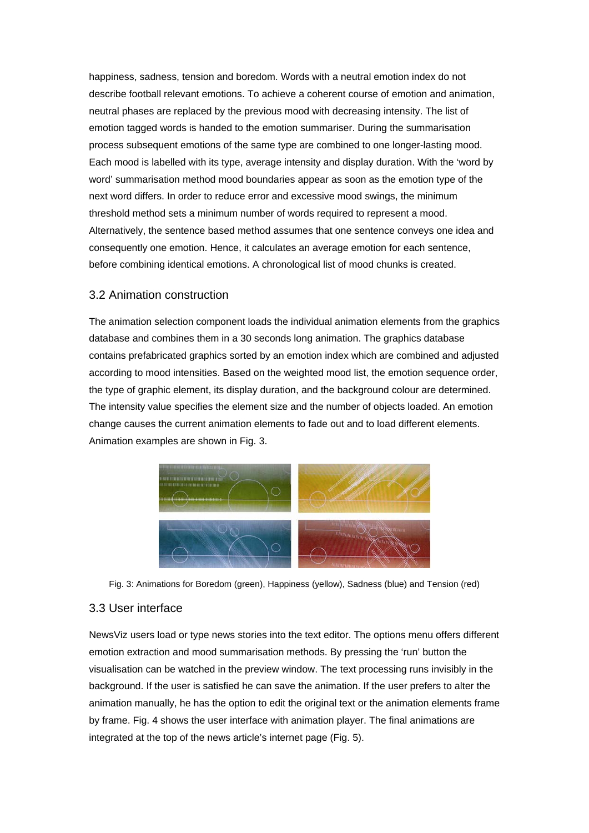happiness, sadness, tension and boredom. Words with a neutral emotion index do not describe football relevant emotions. To achieve a coherent course of emotion and animation, neutral phases are replaced by the previous mood with decreasing intensity. The list of emotion tagged words is handed to the emotion summariser. During the summarisation process subsequent emotions of the same type are combined to one longer-lasting mood. Each mood is labelled with its type, average intensity and display duration. With the 'word by word' summarisation method mood boundaries appear as soon as the emotion type of the next word differs. In order to reduce error and excessive mood swings, the minimum threshold method sets a minimum number of words required to represent a mood. Alternatively, the sentence based method assumes that one sentence conveys one idea and consequently one emotion. Hence, it calculates an average emotion for each sentence, before combining identical emotions. A chronological list of mood chunks is created.

### 3.2 Animation construction

The animation selection component loads the individual animation elements from the graphics database and combines them in a 30 seconds long animation. The graphics database contains prefabricated graphics sorted by an emotion index which are combined and adjusted according to mood intensities. Based on the weighted mood list, the emotion sequence order, the type of graphic element, its display duration, and the background colour are determined. The intensity value specifies the element size and the number of objects loaded. An emotion change causes the current animation elements to fade out and to load different elements. Animation examples are shown in Fig. 3.



Fig. 3: Animations for Boredom (green), Happiness (yellow), Sadness (blue) and Tension (red)

#### 3.3 User interface

NewsViz users load or type news stories into the text editor. The options menu offers different emotion extraction and mood summarisation methods. By pressing the 'run' button the visualisation can be watched in the preview window. The text processing runs invisibly in the background. If the user is satisfied he can save the animation. If the user prefers to alter the animation manually, he has the option to edit the original text or the animation elements frame by frame. Fig. 4 shows the user interface with animation player. The final animations are integrated at the top of the news article's internet page (Fig. 5).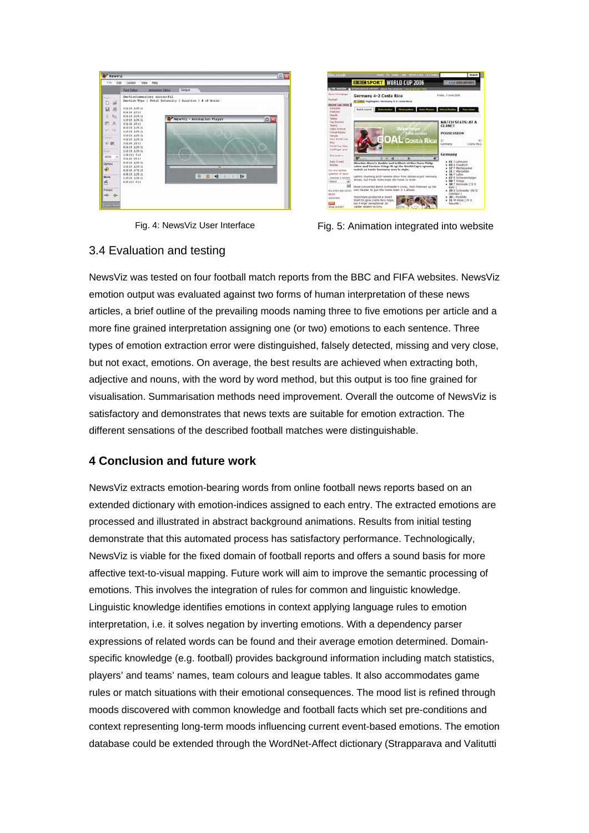



Fig. 4: NewsViz User Interface Fig. 5: Animation integrated into website

# 3.4 Evaluation and testing

NewsViz was tested on four football match reports from the BBC and FIFA websites. NewsViz emotion output was evaluated against two forms of human interpretation of these news articles, a brief outline of the prevailing moods naming three to five emotions per article and a more fine grained interpretation assigning one (or two) emotions to each sentence. Three types of emotion extraction error were distinguished, falsely detected, missing and very close, but not exact, emotions. On average, the best results are achieved when extracting both, adjective and nouns, with the word by word method, but this output is too fine grained for visualisation. Summarisation methods need improvement. Overall the outcome of NewsViz is satisfactory and demonstrates that news texts are suitable for emotion extraction. The different sensations of the described football matches were distinguishable.

# **4 Conclusion and future work**

NewsViz extracts emotion-bearing words from online football news reports based on an extended dictionary with emotion-indices assigned to each entry. The extracted emotions are processed and illustrated in abstract background animations. Results from initial testing demonstrate that this automated process has satisfactory performance. Technologically, NewsViz is viable for the fixed domain of football reports and offers a sound basis for more affective text-to-visual mapping. Future work will aim to improve the semantic processing of emotions. This involves the integration of rules for common and linguistic knowledge. Linguistic knowledge identifies emotions in context applying language rules to emotion interpretation, i.e. it solves negation by inverting emotions. With a dependency parser expressions of related words can be found and their average emotion determined. Domainspecific knowledge (e.g. football) provides background information including match statistics, players' and teams' names, team colours and league tables. It also accommodates game rules or match situations with their emotional consequences. The mood list is refined through moods discovered with common knowledge and football facts which set pre-conditions and context representing long-term moods influencing current event-based emotions. The emotion database could be extended through the WordNet-Affect dictionary (Strapparava and Valitutti